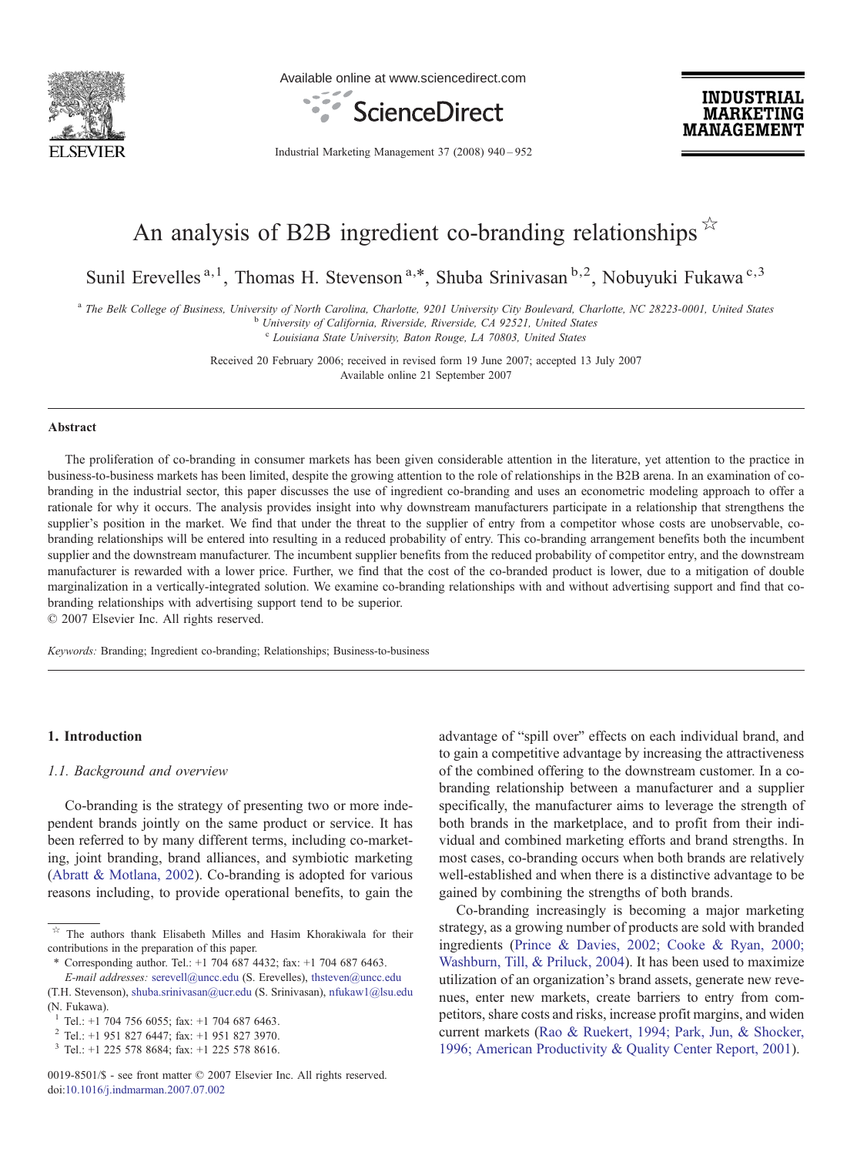

Available online at www.sciencedirect.com



**INDUSTRIAL MARKETING MANAGEMENT** 

Industrial Marketing Management 37 (2008) 940–952

# An analysis of B2B ingredient co-branding relationships  $\overline{x}$

Sunil Erevelles<sup>a, 1</sup>, Thomas H. Stevenson<sup>a,\*</sup>, Shuba Sriniyasan<sup>b, 2</sup>, Nobuyuki Fukawa<sup>c, 3</sup>

<sup>a</sup> The Belk College of Business, University of North Carolina, Charlotte, 9201 University City Boulevard, Charlotte, NC 28223-0001, United States b University of California, Riverside, Riverside, CA 92521, United States

<sup>c</sup> Louisiana State University, Baton Rouge, LA 70803, United States

Received 20 February 2006; received in revised form 19 June 2007; accepted 13 July 2007 Available online 21 September 2007

#### Abstract

The proliferation of co-branding in consumer markets has been given considerable attention in the literature, yet attention to the practice in business-to-business markets has been limited, despite the growing attention to the role of relationships in the B2B arena. In an examination of cobranding in the industrial sector, this paper discusses the use of ingredient co-branding and uses an econometric modeling approach to offer a rationale for why it occurs. The analysis provides insight into why downstream manufacturers participate in a relationship that strengthens the supplier's position in the market. We find that under the threat to the supplier of entry from a competitor whose costs are unobservable, cobranding relationships will be entered into resulting in a reduced probability of entry. This co-branding arrangement benefits both the incumbent supplier and the downstream manufacturer. The incumbent supplier benefits from the reduced probability of competitor entry, and the downstream manufacturer is rewarded with a lower price. Further, we find that the cost of the co-branded product is lower, due to a mitigation of double marginalization in a vertically-integrated solution. We examine co-branding relationships with and without advertising support and find that cobranding relationships with advertising support tend to be superior.

© 2007 Elsevier Inc. All rights reserved.

Keywords: Branding; Ingredient co-branding; Relationships; Business-to-business

## 1. Introduction

#### 1.1. Background and overview

Co-branding is the strategy of presenting two or more independent brands jointly on the same product or service. It has been referred to by many different terms, including co-marketing, joint branding, brand alliances, and symbiotic marketing ([Abratt & Motlana, 2002\)](#page-11-0). Co-branding is adopted for various reasons including, to provide operational benefits, to gain the

advantage of "spill over" effects on each individual brand, and to gain a competitive advantage by increasing the attractiveness of the combined offering to the downstream customer. In a cobranding relationship between a manufacturer and a supplier specifically, the manufacturer aims to leverage the strength of both brands in the marketplace, and to profit from their individual and combined marketing efforts and brand strengths. In most cases, co-branding occurs when both brands are relatively well-established and when there is a distinctive advantage to be gained by combining the strengths of both brands.

Co-branding increasingly is becoming a major marketing strategy, as a growing number of products are sold with branded ingredients ([Prince & Davies, 2002; Cooke & Ryan, 2000;](#page-11-0) [Washburn, Till, & Priluck, 2004](#page-11-0)). It has been used to maximize utilization of an organization's brand assets, generate new revenues, enter new markets, create barriers to entry from competitors, share costs and risks, increase profit margins, and widen current markets [\(Rao & Ruekert, 1994; Park, Jun, & Shocker,](#page-11-0) [1996; American Productivity & Quality Center Report, 2001\)](#page-11-0).

<sup>☆</sup> The authors thank Elisabeth Milles and Hasim Khorakiwala for their contributions in the preparation of this paper.

<sup>⁎</sup> Corresponding author. Tel.: +1 704 687 4432; fax: +1 704 687 6463. E-mail addresses: [serevell@uncc.edu](mailto:serevell@uncc.edu) (S. Erevelles), [thsteven@uncc.edu](mailto:thsteven@uncc.edu)

<sup>(</sup>T.H. Stevenson), [shuba.srinivasan@ucr.edu](mailto:shuba.srinivasan@ucr.edu) (S. Srinivasan), [nfukaw1@lsu.edu](mailto:nfukaw1@lsu.edu) (N. Fukawa).

<sup>1</sup> Tel.: +1 704 756 6055; fax: +1 704 687 6463.<br>
<sup>2</sup> Tel.: +1 951 827 6447; fax: +1 951 827 3970.<br>
<sup>3</sup> Tel.: +1 225 578 8684; fax: +1 225 578 8616.

<sup>0019-8501/\$ -</sup> see front matter © 2007 Elsevier Inc. All rights reserved. doi:[10.1016/j.indmarman.2007.07.002](http://dx.doi.org/10.1016/j.indmarman.2007.07.002)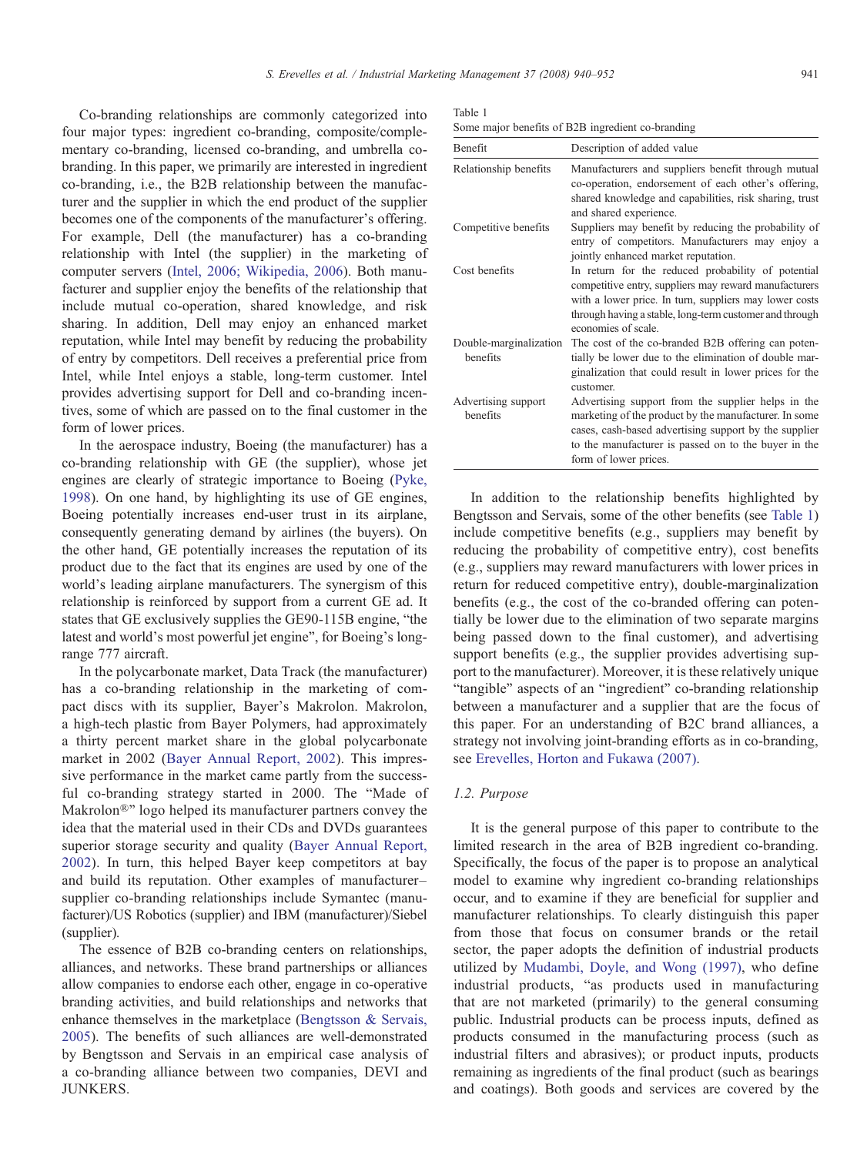<span id="page-1-0"></span>Co-branding relationships are commonly categorized into four major types: ingredient co-branding, composite/complementary co-branding, licensed co-branding, and umbrella cobranding. In this paper, we primarily are interested in ingredient co-branding, i.e., the B2B relationship between the manufacturer and the supplier in which the end product of the supplier becomes one of the components of the manufacturer's offering. For example, Dell (the manufacturer) has a co-branding relationship with Intel (the supplier) in the marketing of computer servers [\(Intel, 2006; Wikipedia, 2006\)](#page-11-0). Both manufacturer and supplier enjoy the benefits of the relationship that include mutual co-operation, shared knowledge, and risk sharing. In addition, Dell may enjoy an enhanced market reputation, while Intel may benefit by reducing the probability of entry by competitors. Dell receives a preferential price from Intel, while Intel enjoys a stable, long-term customer. Intel provides advertising support for Dell and co-branding incentives, some of which are passed on to the final customer in the form of lower prices.

In the aerospace industry, Boeing (the manufacturer) has a co-branding relationship with GE (the supplier), whose jet engines are clearly of strategic importance to Boeing [\(Pyke,](#page-11-0) [1998](#page-11-0)). On one hand, by highlighting its use of GE engines, Boeing potentially increases end-user trust in its airplane, consequently generating demand by airlines (the buyers). On the other hand, GE potentially increases the reputation of its product due to the fact that its engines are used by one of the world's leading airplane manufacturers. The synergism of this relationship is reinforced by support from a current GE ad. It states that GE exclusively supplies the GE90-115B engine, "the latest and world's most powerful jet engine", for Boeing's longrange 777 aircraft.

In the polycarbonate market, Data Track (the manufacturer) has a co-branding relationship in the marketing of compact discs with its supplier, Bayer's Makrolon. Makrolon, a high-tech plastic from Bayer Polymers, had approximately a thirty percent market share in the global polycarbonate market in 2002 [\(Bayer Annual Report, 2002\)](#page-11-0). This impressive performance in the market came partly from the successful co-branding strategy started in 2000. The "Made of Makrolon®" logo helped its manufacturer partners convey the idea that the material used in their CDs and DVDs guarantees superior storage security and quality ([Bayer Annual Report,](#page-11-0) [2002\)](#page-11-0). In turn, this helped Bayer keep competitors at bay and build its reputation. Other examples of manufacturer– supplier co-branding relationships include Symantec (manufacturer)/US Robotics (supplier) and IBM (manufacturer)/Siebel (supplier).

The essence of B2B co-branding centers on relationships, alliances, and networks. These brand partnerships or alliances allow companies to endorse each other, engage in co-operative branding activities, and build relationships and networks that enhance themselves in the marketplace [\(Bengtsson & Servais,](#page-11-0) [2005](#page-11-0)). The benefits of such alliances are well-demonstrated by Bengtsson and Servais in an empirical case analysis of a co-branding alliance between two companies, DEVI and JUNKERS.

| ав |
|----|
|----|

Some major benefits of B2B ingredient co-branding

| Benefit                            | Description of added value                                                                                                                                                                                                                              |
|------------------------------------|---------------------------------------------------------------------------------------------------------------------------------------------------------------------------------------------------------------------------------------------------------|
| Relationship benefits              | Manufacturers and suppliers benefit through mutual<br>co-operation, endorsement of each other's offering,<br>shared knowledge and capabilities, risk sharing, trust<br>and shared experience.                                                           |
| Competitive benefits               | Suppliers may benefit by reducing the probability of<br>entry of competitors. Manufacturers may enjoy a<br>jointly enhanced market reputation.                                                                                                          |
| Cost benefits                      | In return for the reduced probability of potential<br>competitive entry, suppliers may reward manufacturers<br>with a lower price. In turn, suppliers may lower costs<br>through having a stable, long-term customer and through<br>economies of scale. |
| Double-marginalization<br>benefits | The cost of the co-branded B2B offering can poten-<br>tially be lower due to the elimination of double mar-<br>ginalization that could result in lower prices for the<br>customer.                                                                      |
| Advertising support<br>benefits    | Advertising support from the supplier helps in the<br>marketing of the product by the manufacturer. In some<br>cases, cash-based advertising support by the supplier<br>to the manufacturer is passed on to the buyer in the<br>form of lower prices.   |

In addition to the relationship benefits highlighted by Bengtsson and Servais, some of the other benefits (see Table 1) include competitive benefits (e.g., suppliers may benefit by reducing the probability of competitive entry), cost benefits (e.g., suppliers may reward manufacturers with lower prices in return for reduced competitive entry), double-marginalization benefits (e.g., the cost of the co-branded offering can potentially be lower due to the elimination of two separate margins being passed down to the final customer), and advertising support benefits (e.g., the supplier provides advertising support to the manufacturer). Moreover, it is these relatively unique "tangible" aspects of an "ingredient" co-branding relationship between a manufacturer and a supplier that are the focus of this paper. For an understanding of B2C brand alliances, a strategy not involving joint-branding efforts as in co-branding, see [Erevelles, Horton and Fukawa \(2007\).](#page-11-0)

## 1.2. Purpose

It is the general purpose of this paper to contribute to the limited research in the area of B2B ingredient co-branding. Specifically, the focus of the paper is to propose an analytical model to examine why ingredient co-branding relationships occur, and to examine if they are beneficial for supplier and manufacturer relationships. To clearly distinguish this paper from those that focus on consumer brands or the retail sector, the paper adopts the definition of industrial products utilized by [Mudambi, Doyle, and Wong \(1997\),](#page-11-0) who define industrial products, "as products used in manufacturing that are not marketed (primarily) to the general consuming public. Industrial products can be process inputs, defined as products consumed in the manufacturing process (such as industrial filters and abrasives); or product inputs, products remaining as ingredients of the final product (such as bearings and coatings). Both goods and services are covered by the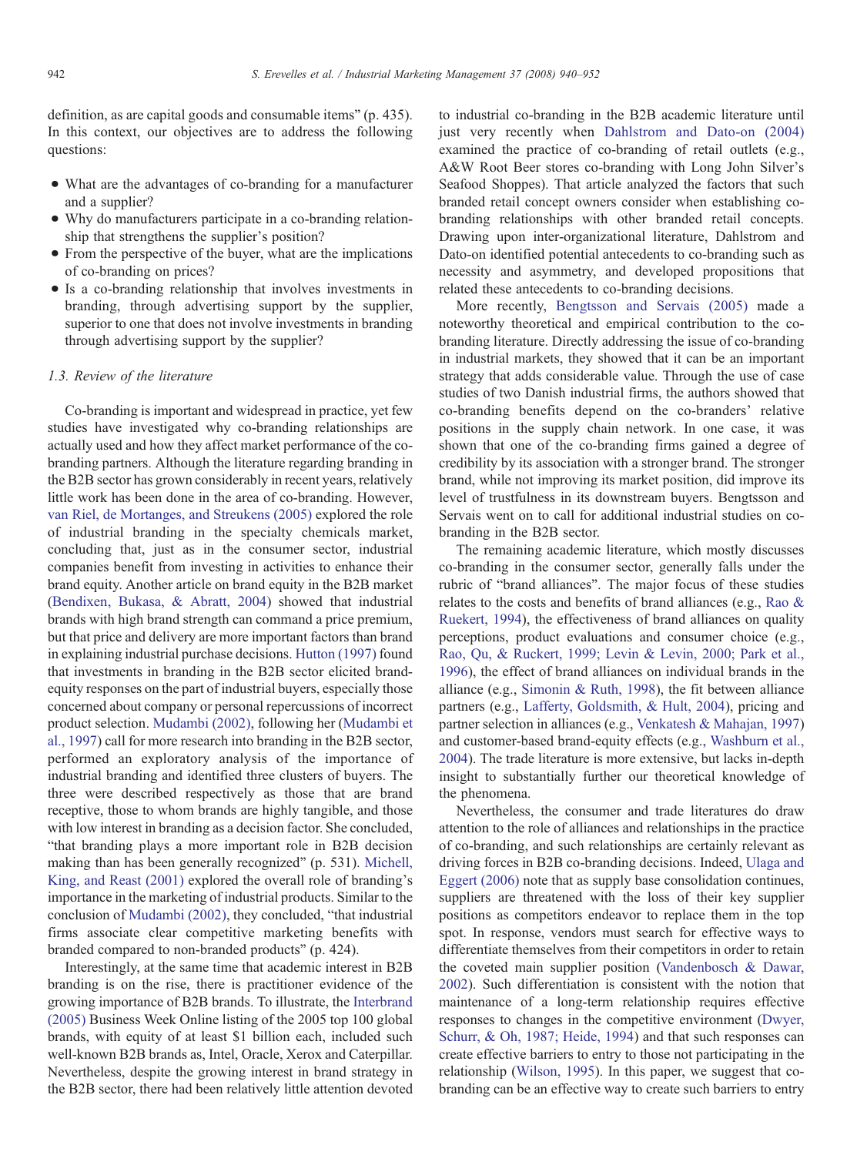definition, as are capital goods and consumable items" (p. 435). In this context, our objectives are to address the following questions:

- What are the advantages of co-branding for a manufacturer and a supplier?
- Why do manufacturers participate in a co-branding relationship that strengthens the supplier's position?
- From the perspective of the buyer, what are the implications of co-branding on prices?
- Is a co-branding relationship that involves investments in branding, through advertising support by the supplier, superior to one that does not involve investments in branding through advertising support by the supplier?

### 1.3. Review of the literature

Co-branding is important and widespread in practice, yet few studies have investigated why co-branding relationships are actually used and how they affect market performance of the cobranding partners. Although the literature regarding branding in the B2B sector has grown considerably in recent years, relatively little work has been done in the area of co-branding. However, [van Riel, de Mortanges, and Streukens \(2005\)](#page-11-0) explored the role of industrial branding in the specialty chemicals market, concluding that, just as in the consumer sector, industrial companies benefit from investing in activities to enhance their brand equity. Another article on brand equity in the B2B market ([Bendixen, Bukasa, & Abratt, 2004](#page-11-0)) showed that industrial brands with high brand strength can command a price premium, but that price and delivery are more important factors than brand in explaining industrial purchase decisions. [Hutton \(1997\)](#page-11-0) found that investments in branding in the B2B sector elicited brandequity responses on the part of industrial buyers, especially those concerned about company or personal repercussions of incorrect product selection. [Mudambi \(2002\)](#page-11-0), following her ([Mudambi et](#page-11-0) [al., 1997\)](#page-11-0) call for more research into branding in the B2B sector, performed an exploratory analysis of the importance of industrial branding and identified three clusters of buyers. The three were described respectively as those that are brand receptive, those to whom brands are highly tangible, and those with low interest in branding as a decision factor. She concluded, "that branding plays a more important role in B2B decision making than has been generally recognized" (p. 531). [Michell,](#page-11-0) [King, and Reast \(2001\)](#page-11-0) explored the overall role of branding's importance in the marketing of industrial products. Similar to the conclusion of [Mudambi \(2002\),](#page-11-0) they concluded, "that industrial firms associate clear competitive marketing benefits with branded compared to non-branded products" (p. 424).

Interestingly, at the same time that academic interest in B2B branding is on the rise, there is practitioner evidence of the growing importance of B2B brands. To illustrate, the [Interbrand](#page-11-0) [\(2005\)](#page-11-0) Business Week Online listing of the 2005 top 100 global brands, with equity of at least \$1 billion each, included such well-known B2B brands as, Intel, Oracle, Xerox and Caterpillar. Nevertheless, despite the growing interest in brand strategy in the B2B sector, there had been relatively little attention devoted to industrial co-branding in the B2B academic literature until just very recently when [Dahlstrom and Dato-on \(2004\)](#page-11-0) examined the practice of co-branding of retail outlets (e.g., A&W Root Beer stores co-branding with Long John Silver's Seafood Shoppes). That article analyzed the factors that such branded retail concept owners consider when establishing cobranding relationships with other branded retail concepts. Drawing upon inter-organizational literature, Dahlstrom and Dato-on identified potential antecedents to co-branding such as necessity and asymmetry, and developed propositions that related these antecedents to co-branding decisions.

More recently, [Bengtsson and Servais \(2005\)](#page-11-0) made a noteworthy theoretical and empirical contribution to the cobranding literature. Directly addressing the issue of co-branding in industrial markets, they showed that it can be an important strategy that adds considerable value. Through the use of case studies of two Danish industrial firms, the authors showed that co-branding benefits depend on the co-branders' relative positions in the supply chain network. In one case, it was shown that one of the co-branding firms gained a degree of credibility by its association with a stronger brand. The stronger brand, while not improving its market position, did improve its level of trustfulness in its downstream buyers. Bengtsson and Servais went on to call for additional industrial studies on cobranding in the B2B sector.

The remaining academic literature, which mostly discusses co-branding in the consumer sector, generally falls under the rubric of "brand alliances". The major focus of these studies relates to the costs and benefits of brand alliances (e.g., [Rao &](#page-11-0) [Ruekert, 1994\)](#page-11-0), the effectiveness of brand alliances on quality perceptions, product evaluations and consumer choice (e.g., [Rao, Qu, & Ruckert, 1999; Levin & Levin, 2000; Park et al.,](#page-11-0) [1996\)](#page-11-0), the effect of brand alliances on individual brands in the alliance (e.g., [Simonin & Ruth, 1998\)](#page-11-0), the fit between alliance partners (e.g., [Lafferty, Goldsmith, & Hult, 2004](#page-11-0)), pricing and partner selection in alliances (e.g., [Venkatesh & Mahajan, 1997\)](#page-11-0) and customer-based brand-equity effects (e.g., [Washburn et al.,](#page-12-0) [2004\)](#page-12-0). The trade literature is more extensive, but lacks in-depth insight to substantially further our theoretical knowledge of the phenomena.

Nevertheless, the consumer and trade literatures do draw attention to the role of alliances and relationships in the practice of co-branding, and such relationships are certainly relevant as driving forces in B2B co-branding decisions. Indeed, [Ulaga and](#page-11-0) [Eggert \(2006\)](#page-11-0) note that as supply base consolidation continues, suppliers are threatened with the loss of their key supplier positions as competitors endeavor to replace them in the top spot. In response, vendors must search for effective ways to differentiate themselves from their competitors in order to retain the coveted main supplier position [\(Vandenbosch & Dawar,](#page-11-0) [2002\)](#page-11-0). Such differentiation is consistent with the notion that maintenance of a long-term relationship requires effective responses to changes in the competitive environment ([Dwyer,](#page-11-0) [Schurr, & Oh, 1987; Heide, 1994\)](#page-11-0) and that such responses can create effective barriers to entry to those not participating in the relationship ([Wilson, 1995\)](#page-12-0). In this paper, we suggest that cobranding can be an effective way to create such barriers to entry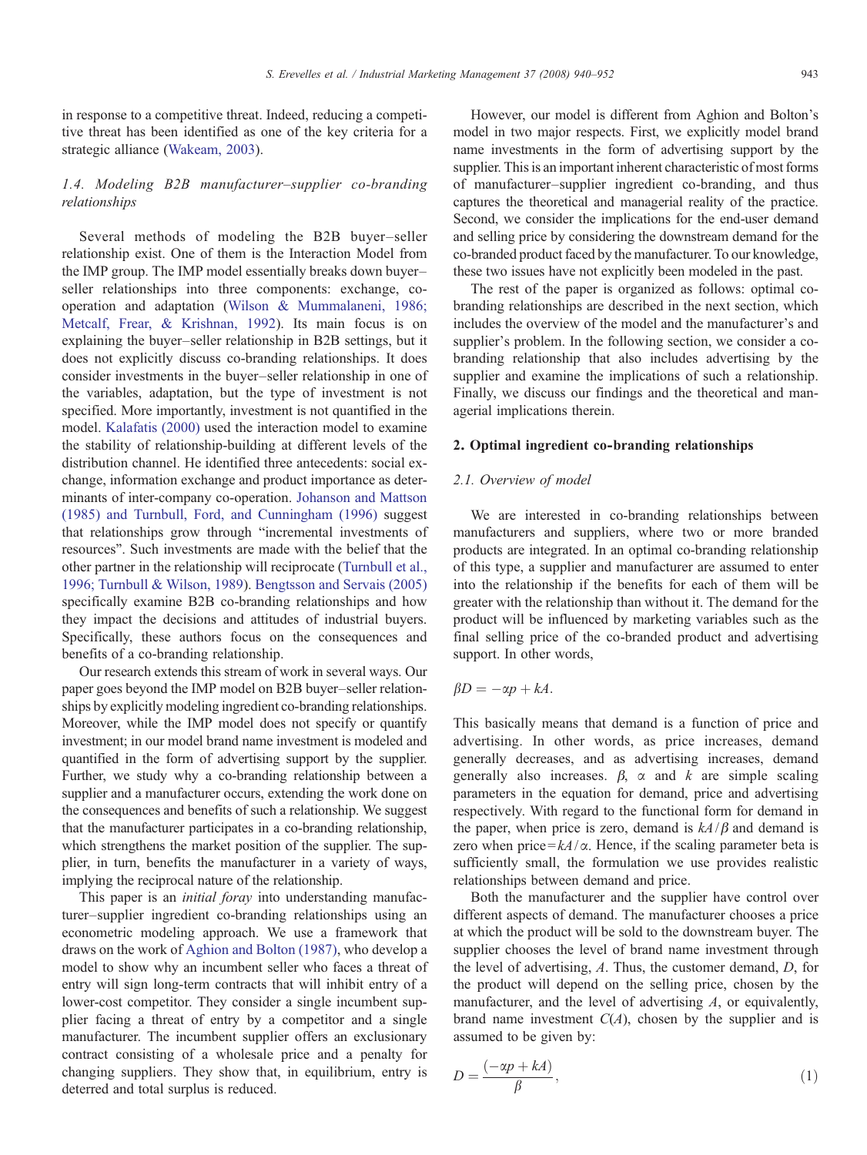in response to a competitive threat. Indeed, reducing a competitive threat has been identified as one of the key criteria for a strategic alliance ([Wakeam, 2003](#page-12-0)).

## 1.4. Modeling B2B manufacturer–supplier co-branding relationships

Several methods of modeling the B2B buyer–seller relationship exist. One of them is the Interaction Model from the IMP group. The IMP model essentially breaks down buyer– seller relationships into three components: exchange, cooperation and adaptation ([Wilson & Mummalaneni, 1986;](#page-12-0) [Metcalf, Frear, & Krishnan, 1992\)](#page-12-0). Its main focus is on explaining the buyer–seller relationship in B2B settings, but it does not explicitly discuss co-branding relationships. It does consider investments in the buyer–seller relationship in one of the variables, adaptation, but the type of investment is not specified. More importantly, investment is not quantified in the model. [Kalafatis \(2000\)](#page-11-0) used the interaction model to examine the stability of relationship-building at different levels of the distribution channel. He identified three antecedents: social exchange, information exchange and product importance as determinants of inter-company co-operation. [Johanson and Mattson](#page-11-0) [\(1985\) and Turnbull, Ford, and Cunningham \(1996\)](#page-11-0) suggest that relationships grow through "incremental investments of resources". Such investments are made with the belief that the other partner in the relationship will reciprocate ([Turnbull et al.,](#page-11-0) [1996; Turnbull & Wilson, 1989](#page-11-0)). [Bengtsson and Servais \(2005\)](#page-11-0) specifically examine B2B co-branding relationships and how they impact the decisions and attitudes of industrial buyers. Specifically, these authors focus on the consequences and benefits of a co-branding relationship.

Our research extends this stream of work in several ways. Our paper goes beyond the IMP model on B2B buyer–seller relationships by explicitly modeling ingredient co-branding relationships. Moreover, while the IMP model does not specify or quantify investment; in our model brand name investment is modeled and quantified in the form of advertising support by the supplier. Further, we study why a co-branding relationship between a supplier and a manufacturer occurs, extending the work done on the consequences and benefits of such a relationship. We suggest that the manufacturer participates in a co-branding relationship, which strengthens the market position of the supplier. The supplier, in turn, benefits the manufacturer in a variety of ways, implying the reciprocal nature of the relationship.

This paper is an *initial foray* into understanding manufacturer–supplier ingredient co-branding relationships using an econometric modeling approach. We use a framework that draws on the work of [Aghion and Bolton \(1987\),](#page-11-0) who develop a model to show why an incumbent seller who faces a threat of entry will sign long-term contracts that will inhibit entry of a lower-cost competitor. They consider a single incumbent supplier facing a threat of entry by a competitor and a single manufacturer. The incumbent supplier offers an exclusionary contract consisting of a wholesale price and a penalty for changing suppliers. They show that, in equilibrium, entry is deterred and total surplus is reduced.

However, our model is different from Aghion and Bolton's model in two major respects. First, we explicitly model brand name investments in the form of advertising support by the supplier. This is an important inherent characteristic of most forms of manufacturer–supplier ingredient co-branding, and thus captures the theoretical and managerial reality of the practice. Second, we consider the implications for the end-user demand and selling price by considering the downstream demand for the co-branded product faced by the manufacturer. To our knowledge, these two issues have not explicitly been modeled in the past.

The rest of the paper is organized as follows: optimal cobranding relationships are described in the next section, which includes the overview of the model and the manufacturer's and supplier's problem. In the following section, we consider a cobranding relationship that also includes advertising by the supplier and examine the implications of such a relationship. Finally, we discuss our findings and the theoretical and managerial implications therein.

#### 2. Optimal ingredient co-branding relationships

## 2.1. Overview of model

We are interested in co-branding relationships between manufacturers and suppliers, where two or more branded products are integrated. In an optimal co-branding relationship of this type, a supplier and manufacturer are assumed to enter into the relationship if the benefits for each of them will be greater with the relationship than without it. The demand for the product will be influenced by marketing variables such as the final selling price of the co-branded product and advertising support. In other words,

$$
\beta D = -\alpha p + kA.
$$

This basically means that demand is a function of price and advertising. In other words, as price increases, demand generally decreases, and as advertising increases, demand generally also increases.  $\beta$ ,  $\alpha$  and k are simple scaling parameters in the equation for demand, price and advertising respectively. With regard to the functional form for demand in the paper, when price is zero, demand is  $kA/\beta$  and demand is zero when price =  $kA/\alpha$ . Hence, if the scaling parameter beta is sufficiently small, the formulation we use provides realistic relationships between demand and price.

Both the manufacturer and the supplier have control over different aspects of demand. The manufacturer chooses a price at which the product will be sold to the downstream buyer. The supplier chooses the level of brand name investment through the level of advertising, A. Thus, the customer demand, D, for the product will depend on the selling price, chosen by the manufacturer, and the level of advertising A, or equivalently, brand name investment  $C(A)$ , chosen by the supplier and is assumed to be given by:

$$
D = \frac{(-\alpha p + kA)}{\beta},\tag{1}
$$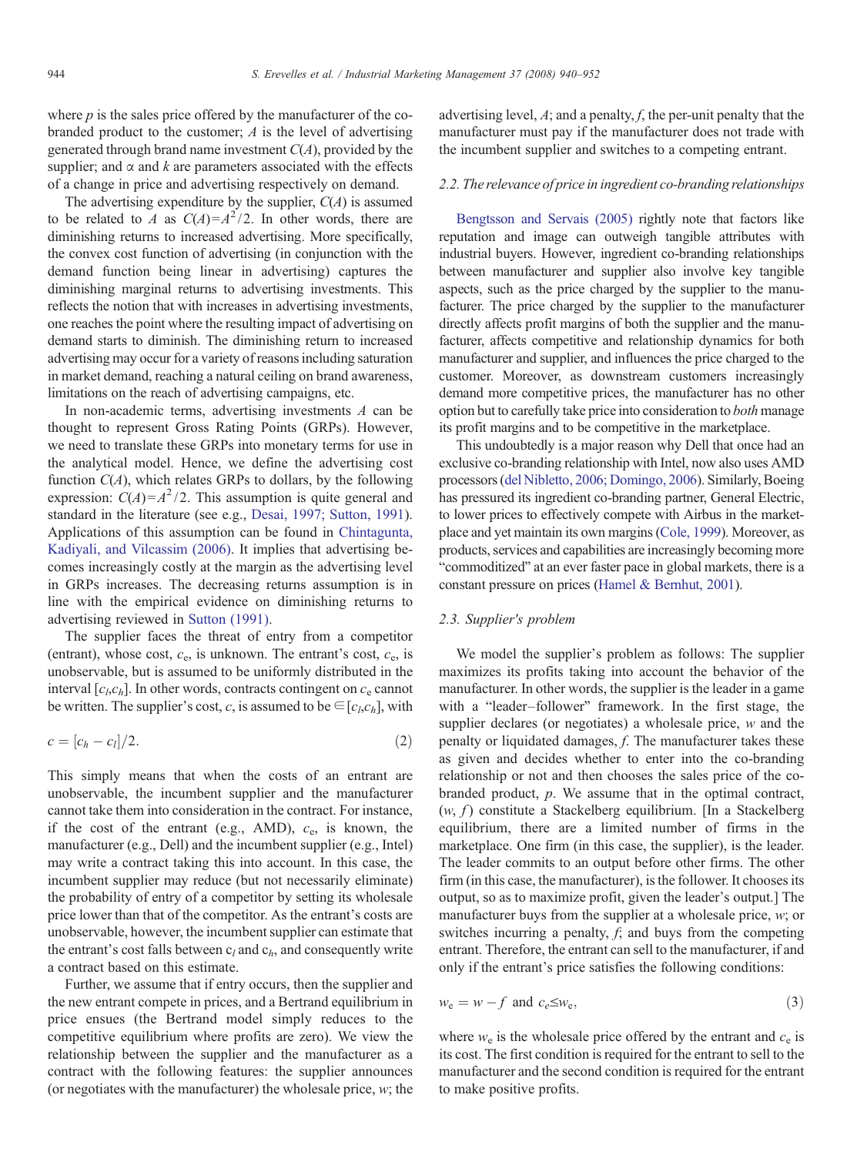where  $p$  is the sales price offered by the manufacturer of the cobranded product to the customer; A is the level of advertising generated through brand name investment  $C(A)$ , provided by the supplier; and  $\alpha$  and k are parameters associated with the effects of a change in price and advertising respectively on demand.

The advertising expenditure by the supplier,  $C(A)$  is assumed to be related to A as  $C(A)=A^2/2$ . In other words, there are diminishing returns to increased advertising. More specifically, the convex cost function of advertising (in conjunction with the demand function being linear in advertising) captures the diminishing marginal returns to advertising investments. This reflects the notion that with increases in advertising investments, one reaches the point where the resulting impact of advertising on demand starts to diminish. The diminishing return to increased advertising may occur for a variety of reasons including saturation in market demand, reaching a natural ceiling on brand awareness, limitations on the reach of advertising campaigns, etc.

In non-academic terms, advertising investments  $A$  can be thought to represent Gross Rating Points (GRPs). However, we need to translate these GRPs into monetary terms for use in the analytical model. Hence, we define the advertising cost function  $C(A)$ , which relates GRPs to dollars, by the following expression:  $C(A) = A^2/2$ . This assumption is quite general and standard in the literature (see e.g., [Desai, 1997; Sutton, 1991](#page-11-0)). Applications of this assumption can be found in [Chintagunta,](#page-11-0) [Kadiyali, and Vilcassim \(2006\).](#page-11-0) It implies that advertising becomes increasingly costly at the margin as the advertising level in GRPs increases. The decreasing returns assumption is in line with the empirical evidence on diminishing returns to advertising reviewed in [Sutton \(1991\).](#page-11-0)

The supplier faces the threat of entry from a competitor (entrant), whose cost,  $c_e$ , is unknown. The entrant's cost,  $c_e$ , is unobservable, but is assumed to be uniformly distributed in the interval  $[c_l,c_h]$ . In other words, contracts contingent on  $c_e$  cannot be written. The supplier's cost, c, is assumed to be  $\in [c_l,c_h]$ , with

$$
c = [c_h - c_l]/2. \tag{2}
$$

This simply means that when the costs of an entrant are unobservable, the incumbent supplier and the manufacturer cannot take them into consideration in the contract. For instance, if the cost of the entrant (e.g., AMD),  $c_e$ , is known, the manufacturer (e.g., Dell) and the incumbent supplier (e.g., Intel) may write a contract taking this into account. In this case, the incumbent supplier may reduce (but not necessarily eliminate) the probability of entry of a competitor by setting its wholesale price lower than that of the competitor. As the entrant's costs are unobservable, however, the incumbent supplier can estimate that the entrant's cost falls between  $c_l$  and  $c_h$ , and consequently write a contract based on this estimate.

Further, we assume that if entry occurs, then the supplier and the new entrant compete in prices, and a Bertrand equilibrium in price ensues (the Bertrand model simply reduces to the competitive equilibrium where profits are zero). We view the relationship between the supplier and the manufacturer as a contract with the following features: the supplier announces (or negotiates with the manufacturer) the wholesale price,  $w$ ; the advertising level,  $A$ ; and a penalty,  $f$ , the per-unit penalty that the manufacturer must pay if the manufacturer does not trade with the incumbent supplier and switches to a competing entrant.

#### 2.2. The relevance of price in ingredient co-branding relationships

[Bengtsson and Servais \(2005\)](#page-11-0) rightly note that factors like reputation and image can outweigh tangible attributes with industrial buyers. However, ingredient co-branding relationships between manufacturer and supplier also involve key tangible aspects, such as the price charged by the supplier to the manufacturer. The price charged by the supplier to the manufacturer directly affects profit margins of both the supplier and the manufacturer, affects competitive and relationship dynamics for both manufacturer and supplier, and influences the price charged to the customer. Moreover, as downstream customers increasingly demand more competitive prices, the manufacturer has no other option but to carefully take price into consideration to both manage its profit margins and to be competitive in the marketplace.

This undoubtedly is a major reason why Dell that once had an exclusive co-branding relationship with Intel, now also uses AMD processors ([del Nibletto, 2006; Domingo, 2006\)](#page-11-0). Similarly, Boeing has pressured its ingredient co-branding partner, General Electric, to lower prices to effectively compete with Airbus in the marketplace and yet maintain its own margins ([Cole, 1999](#page-11-0)). Moreover, as products, services and capabilities are increasingly becoming more "commoditized" at an ever faster pace in global markets, there is a constant pressure on prices [\(Hamel & Bernhut, 2001](#page-11-0)).

#### 2.3. Supplier's problem

We model the supplier's problem as follows: The supplier maximizes its profits taking into account the behavior of the manufacturer. In other words, the supplier is the leader in a game with a "leader–follower" framework. In the first stage, the supplier declares (or negotiates) a wholesale price, w and the penalty or liquidated damages, f. The manufacturer takes these as given and decides whether to enter into the co-branding relationship or not and then chooses the sales price of the cobranded product, p. We assume that in the optimal contract,  $(w, f)$  constitute a Stackelberg equilibrium. [In a Stackelberg equilibrium, there are a limited number of firms in the marketplace. One firm (in this case, the supplier), is the leader. The leader commits to an output before other firms. The other firm (in this case, the manufacturer), is the follower. It chooses its output, so as to maximize profit, given the leader's output.] The manufacturer buys from the supplier at a wholesale price, w; or switches incurring a penalty,  $f$ ; and buys from the competing entrant. Therefore, the entrant can sell to the manufacturer, if and only if the entrant's price satisfies the following conditions:

$$
w_{e} = w - f \text{ and } c_{e} \leq w_{e}, \tag{3}
$$

where  $w_e$  is the wholesale price offered by the entrant and  $c_e$  is its cost. The first condition is required for the entrant to sell to the manufacturer and the second condition is required for the entrant to make positive profits.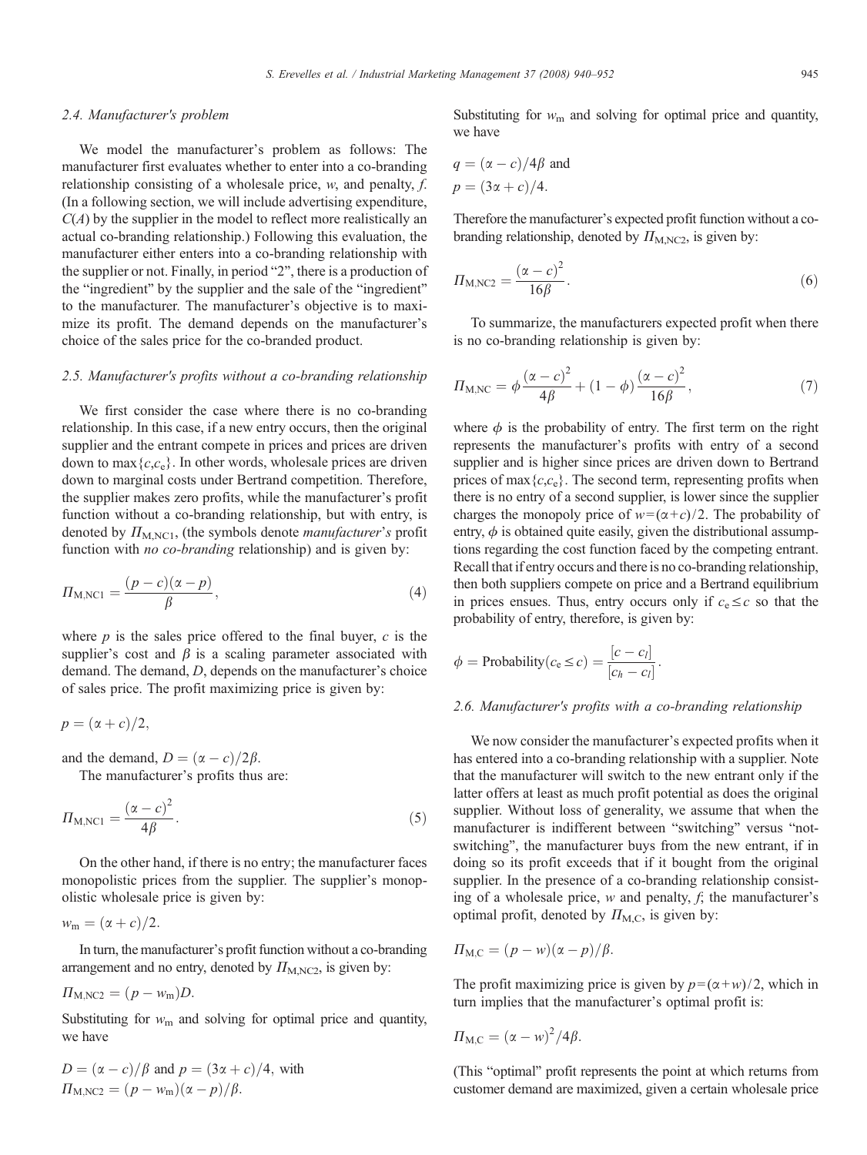#### 2.4. Manufacturer's problem

We model the manufacturer's problem as follows: The manufacturer first evaluates whether to enter into a co-branding relationship consisting of a wholesale price, w, and penalty, f. (In a following section, we will include advertising expenditure,  $C(A)$  by the supplier in the model to reflect more realistically an actual co-branding relationship.) Following this evaluation, the manufacturer either enters into a co-branding relationship with the supplier or not. Finally, in period "2", there is a production of the "ingredient" by the supplier and the sale of the "ingredient" to the manufacturer. The manufacturer's objective is to maximize its profit. The demand depends on the manufacturer's choice of the sales price for the co-branded product.

#### 2.5. Manufacturer's profits without a co-branding relationship

We first consider the case where there is no co-branding relationship. In this case, if a new entry occurs, then the original supplier and the entrant compete in prices and prices are driven down to max $\{c,c_e\}$ . In other words, wholesale prices are driven down to marginal costs under Bertrand competition. Therefore, the supplier makes zero profits, while the manufacturer's profit function without a co-branding relationship, but with entry, is denoted by  $\Pi_{\text{M,NC1}}$ , (the symbols denote *manufacturer's* profit function with *no co-branding* relationship) and is given by:

$$
\Pi_{M,NC1} = \frac{(p-c)(\alpha - p)}{\beta},\tag{4}
$$

where  $p$  is the sales price offered to the final buyer,  $c$  is the supplier's cost and  $\beta$  is a scaling parameter associated with demand. The demand, D, depends on the manufacturer's choice of sales price. The profit maximizing price is given by:

$$
p = (\alpha + c)/2,
$$

and the demand,  $D = (\alpha - c)/2\beta$ .

The manufacturer's profits thus are:

$$
\Pi_{\text{M,NC1}} = \frac{(\alpha - c)^2}{4\beta}.
$$
\n(5)

On the other hand, if there is no entry; the manufacturer faces monopolistic prices from the supplier. The supplier's monopolistic wholesale price is given by:

$$
w_{\rm m}=(\alpha+c)/2.
$$

In turn, the manufacturer's profit function without a co-branding arrangement and no entry, denoted by  $\varPi_{\text{M,NC2}}$ , is given by:

$$
\Pi_{\mathrm{M,NC2}}=(p-w_{\mathrm{m}})D.
$$

Substituting for  $w<sub>m</sub>$  and solving for optimal price and quantity, we have

$$
D = (\alpha - c)/\beta \text{ and } p = (3\alpha + c)/4, \text{ with}
$$
  

$$
\Pi_{M, N C 2} = (p - w_m)(\alpha - p)/\beta.
$$

Substituting for  $w<sub>m</sub>$  and solving for optimal price and quantity, we have

$$
q = (\alpha - c)/4\beta
$$
 and  

$$
p = (3\alpha + c)/4.
$$

Therefore the manufacturer's expected profit function without a cobranding relationship, denoted by  $\varPi_{\text{M,NC2}}$ , is given by:

$$
\Pi_{\text{M,NC2}} = \frac{(\alpha - c)^2}{16\beta}.
$$
\n(6)

To summarize, the manufacturers expected profit when there is no co-branding relationship is given by:

$$
\Pi_{M,NC} = \phi \frac{(\alpha - c)^2}{4\beta} + (1 - \phi) \frac{(\alpha - c)^2}{16\beta},
$$
\n(7)

where  $\phi$  is the probability of entry. The first term on the right represents the manufacturer's profits with entry of a second supplier and is higher since prices are driven down to Bertrand prices of max  $\{c,c_e\}$ . The second term, representing profits when there is no entry of a second supplier, is lower since the supplier charges the monopoly price of  $w = (\alpha + c)/2$ . The probability of entry,  $\phi$  is obtained quite easily, given the distributional assumptions regarding the cost function faced by the competing entrant. Recall that if entry occurs and there is no co-branding relationship, then both suppliers compete on price and a Bertrand equilibrium in prices ensues. Thus, entry occurs only if  $c_e \leq c$  so that the probability of entry, therefore, is given by:

$$
\phi = \text{Probability}(c_{\text{e}} \le c) = \frac{[c - c_l]}{[c_h - c_l]}.
$$

#### 2.6. Manufacturer's profits with a co-branding relationship

We now consider the manufacturer's expected profits when it has entered into a co-branding relationship with a supplier. Note that the manufacturer will switch to the new entrant only if the latter offers at least as much profit potential as does the original supplier. Without loss of generality, we assume that when the manufacturer is indifferent between "switching" versus "notswitching", the manufacturer buys from the new entrant, if in doing so its profit exceeds that if it bought from the original supplier. In the presence of a co-branding relationship consisting of a wholesale price,  $w$  and penalty,  $f$ ; the manufacturer's optimal profit, denoted by  $\Pi_{\text{M,C}}$ , is given by:

$$
\Pi_{\mathrm{M,C}} = (p - w)(\alpha - p)/\beta.
$$

The profit maximizing price is given by  $p = (\alpha + w)/2$ , which in turn implies that the manufacturer's optimal profit is:

$$
\Pi_{\mathrm{M,C}} = (\alpha - w)^2 / 4\beta.
$$

(This "optimal" profit represents the point at which returns from customer demand are maximized, given a certain wholesale price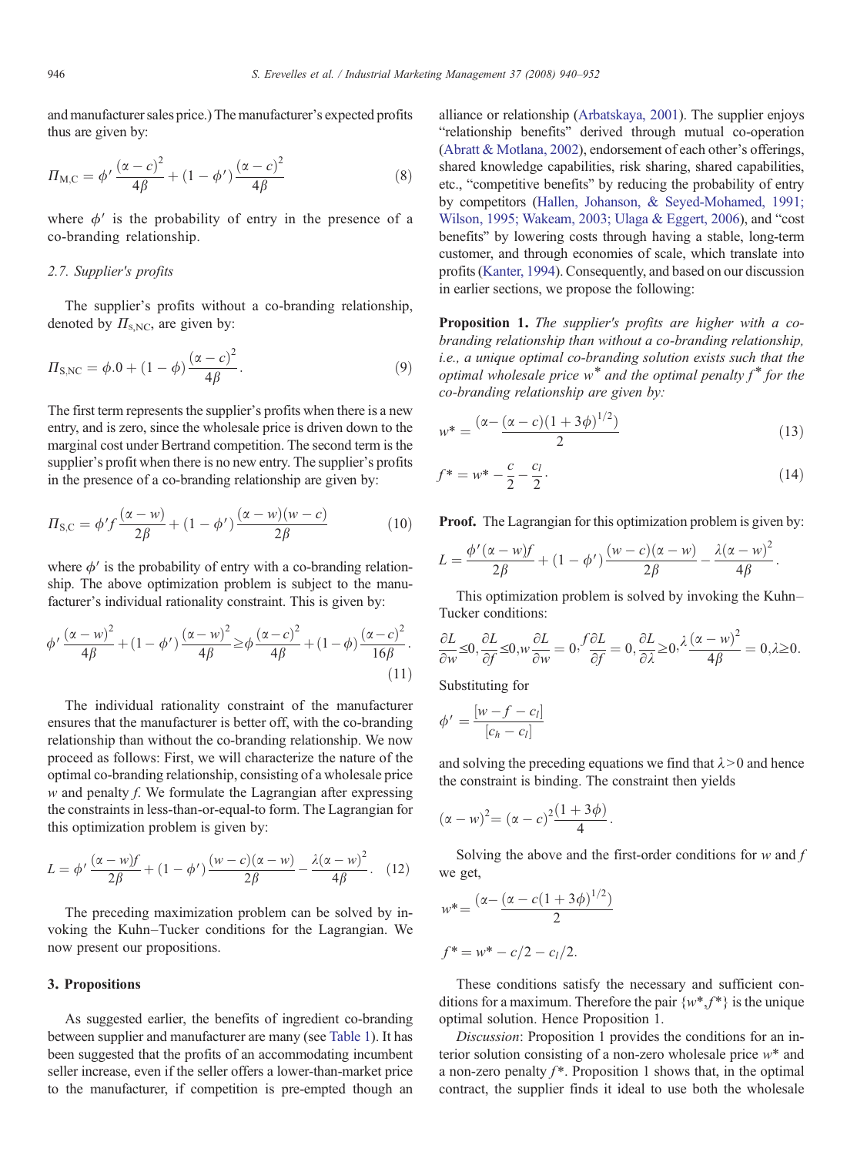and manufacturer sales price.) The manufacturer's expected profits thus are given by:

$$
\Pi_{\text{M,C}} = \phi' \frac{(\alpha - c)^2}{4\beta} + (1 - \phi') \frac{(\alpha - c)^2}{4\beta} \tag{8}
$$

where  $\phi'$  is the probability of entry in the presence of a co-branding relationship.

## 2.7. Supplier's profits

The supplier's profits without a co-branding relationship, denoted by  $\Pi_{\text{s,NC}}$ , are given by:

$$
\Pi_{\text{S,NC}} = \phi.0 + (1 - \phi) \frac{(\alpha - c)^2}{4\beta}.
$$
\n(9)

The first term represents the supplier's profits when there is a new entry, and is zero, since the wholesale price is driven down to the marginal cost under Bertrand competition. The second term is the supplier's profit when there is no new entry. The supplier's profits in the presence of a co-branding relationship are given by:

$$
\Pi_{\text{S},\text{C}} = \phi' f \frac{(\alpha - w)}{2\beta} + (1 - \phi') \frac{(\alpha - w)(w - c)}{2\beta} \tag{10}
$$

where  $\phi'$  is the probability of entry with a co-branding relationship. The above optimization problem is subject to the manufacturer's individual rationality constraint. This is given by:

$$
\phi' \frac{(\alpha - w)^2}{4\beta} + (1 - \phi') \frac{(\alpha - w)^2}{4\beta} \ge \phi \frac{(\alpha - c)^2}{4\beta} + (1 - \phi) \frac{(\alpha - c)^2}{16\beta}.
$$
\n(11)

The individual rationality constraint of the manufacturer ensures that the manufacturer is better off, with the co-branding relationship than without the co-branding relationship. We now proceed as follows: First, we will characterize the nature of the optimal co-branding relationship, consisting of a wholesale price  $w$  and penalty  $f$ . We formulate the Lagrangian after expressing the constraints in less-than-or-equal-to form. The Lagrangian for this optimization problem is given by:

$$
L = \phi' \frac{(\alpha - w)f}{2\beta} + (1 - \phi') \frac{(w - c)(\alpha - w)}{2\beta} - \frac{\lambda(\alpha - w)^2}{4\beta}.
$$
 (12)

The preceding maximization problem can be solved by invoking the Kuhn–Tucker conditions for the Lagrangian. We now present our propositions.

## 3. Propositions

As suggested earlier, the benefits of ingredient co-branding between supplier and manufacturer are many (see [Table 1\)](#page-1-0). It has been suggested that the profits of an accommodating incumbent seller increase, even if the seller offers a lower-than-market price to the manufacturer, if competition is pre-empted though an

alliance or relationship [\(Arbatskaya, 2001](#page-11-0)). The supplier enjoys "relationship benefits" derived through mutual co-operation ([Abratt & Motlana, 2002\)](#page-11-0), endorsement of each other's offerings, shared knowledge capabilities, risk sharing, shared capabilities, etc., "competitive benefits" by reducing the probability of entry by competitors [\(Hallen, Johanson, & Seyed-Mohamed, 1991;](#page-11-0) [Wilson, 1995; Wakeam, 2003; Ulaga & Eggert, 2006](#page-11-0)), and "cost benefits" by lowering costs through having a stable, long-term customer, and through economies of scale, which translate into profits ([Kanter, 1994\)](#page-11-0). Consequently, and based on our discussion in earlier sections, we propose the following:

Proposition 1. The supplier's profits are higher with a cobranding relationship than without a co-branding relationship, i.e., a unique optimal co-branding solution exists such that the optimal wholesale price  $w^*$  and the optimal penalty  $f^*$  for the co-branding relationship are given by:

$$
w^* = \frac{(\alpha - (\alpha - c)(1 + 3\phi)^{1/2})}{2} \tag{13}
$$

$$
f^* = w^* - \frac{c}{2} - \frac{c_l}{2}.\tag{14}
$$

Proof. The Lagrangian for this optimization problem is given by:

$$
L = \frac{\phi'(\alpha - w)f}{2\beta} + (1 - \phi')\frac{(w - c)(\alpha - w)}{2\beta} - \frac{\lambda(\alpha - w)^2}{4\beta}.
$$

This optimization problem is solved by invoking the Kuhn– Tucker conditions:

$$
\frac{\partial L}{\partial w}\leq 0, \frac{\partial L}{\partial f}\leq 0, w\frac{\partial L}{\partial w}=0, \frac{f\partial L}{\partial f}=0, \frac{\partial L}{\partial \lambda}\geq 0, \frac{\lambda(\alpha-w)^2}{4\beta}=0, \lambda\geq 0.
$$

Substituting for

$$
\phi' = \frac{[w - f - c_l]}{[c_h - c_l]}
$$

and solving the preceding equations we find that  $\lambda > 0$  and hence the constraint is binding. The constraint then yields

$$
(\alpha - w)^2 = (\alpha - c)^2 \frac{(1 + 3\phi)}{4}.
$$

Solving the above and the first-order conditions for  $w$  and  $f$ we get,

$$
w^* = \frac{(\alpha - (a - c(1 + 3\phi)^{1/2})}{2}
$$

$$
f^* = w^* - c/2 - c_l/2.
$$

These conditions satisfy the necessary and sufficient conditions for a maximum. Therefore the pair  $\{w^*, f^*\}$  is the unique optimal solution. Hence Proposition 1.

Discussion: Proposition 1 provides the conditions for an interior solution consisting of a non-zero wholesale price  $w^*$  and a non-zero penalty  $f^*$ . Proposition 1 shows that, in the optimal contract, the supplier finds it ideal to use both the wholesale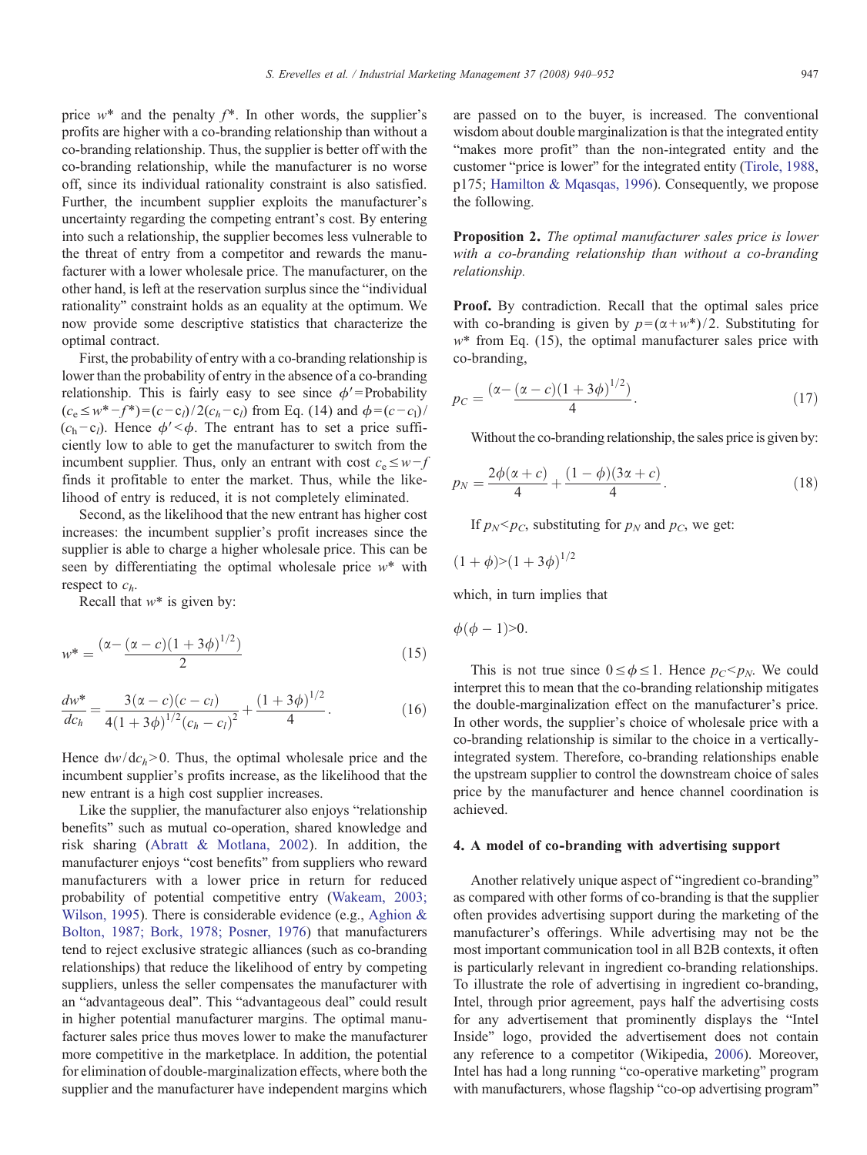price  $w^*$  and the penalty  $f^*$ . In other words, the supplier's profits are higher with a co-branding relationship than without a co-branding relationship. Thus, the supplier is better off with the co-branding relationship, while the manufacturer is no worse off, since its individual rationality constraint is also satisfied. Further, the incumbent supplier exploits the manufacturer's uncertainty regarding the competing entrant's cost. By entering into such a relationship, the supplier becomes less vulnerable to the threat of entry from a competitor and rewards the manufacturer with a lower wholesale price. The manufacturer, on the other hand, is left at the reservation surplus since the "individual rationality" constraint holds as an equality at the optimum. We now provide some descriptive statistics that characterize the optimal contract.

First, the probability of entry with a co-branding relationship is lower than the probability of entry in the absence of a co-branding relationship. This is fairly easy to see since  $\phi'$ =Probability  $(c_e \leq w^* - f^*) = (c - c_l)/2(c_h - c_l)$  from Eq. (14) and  $\phi = (c - c_l)/2$  $(c_h-c_l)$ . Hence  $\phi' < \phi$ . The entrant has to set a price sufficiently low to able to get the manufacturer to switch from the incumbent supplier. Thus, only an entrant with cost  $c_e \leq w-f$ finds it profitable to enter the market. Thus, while the likelihood of entry is reduced, it is not completely eliminated.

Second, as the likelihood that the new entrant has higher cost increases: the incumbent supplier's profit increases since the supplier is able to charge a higher wholesale price. This can be seen by differentiating the optimal wholesale price  $w^*$  with respect to  $c_h$ .

Recall that  $w^*$  is given by:

$$
w^* = \frac{(\alpha - (\alpha - c)(1 + 3\phi)^{1/2})}{2} \tag{15}
$$

$$
\frac{dw^*}{dc_h} = \frac{3(\alpha - c)(c - c_l)}{4(1 + 3\phi)^{1/2}(c_h - c_l)^2} + \frac{(1 + 3\phi)^{1/2}}{4}.
$$
 (16)

Hence  $dw/dc_h>0$ . Thus, the optimal wholesale price and the incumbent supplier's profits increase, as the likelihood that the new entrant is a high cost supplier increases.

Like the supplier, the manufacturer also enjoys "relationship benefits" such as mutual co-operation, shared knowledge and risk sharing [\(Abratt & Motlana, 2002](#page-11-0)). In addition, the manufacturer enjoys "cost benefits" from suppliers who reward manufacturers with a lower price in return for reduced probability of potential competitive entry [\(Wakeam, 2003;](#page-12-0) [Wilson, 1995](#page-12-0)). There is considerable evidence (e.g., [Aghion &](#page-11-0) [Bolton, 1987; Bork, 1978; Posner, 1976\)](#page-11-0) that manufacturers tend to reject exclusive strategic alliances (such as co-branding relationships) that reduce the likelihood of entry by competing suppliers, unless the seller compensates the manufacturer with an "advantageous deal". This "advantageous deal" could result in higher potential manufacturer margins. The optimal manufacturer sales price thus moves lower to make the manufacturer more competitive in the marketplace. In addition, the potential for elimination of double-marginalization effects, where both the supplier and the manufacturer have independent margins which are passed on to the buyer, is increased. The conventional wisdom about double marginalization is that the integrated entity "makes more profit" than the non-integrated entity and the customer "price is lower" for the integrated entity ([Tirole, 1988](#page-11-0), p175; [Hamilton & Mqasqas, 1996\)](#page-11-0). Consequently, we propose the following.

Proposition 2. The optimal manufacturer sales price is lower with a co-branding relationship than without a co-branding relationship.

Proof. By contradiction. Recall that the optimal sales price with co-branding is given by  $p = (\alpha + w^*)/2$ . Substituting for  $w^*$  from Eq. (15), the optimal manufacturer sales price with co-branding,

$$
p_C = \frac{(\alpha - (\alpha - c)(1 + 3\phi)^{1/2})}{4}.
$$
\n(17)

Without the co-branding relationship, the sales price is given by:

$$
p_N = \frac{2\phi(\alpha + c)}{4} + \frac{(1 - \phi)(3\alpha + c)}{4}.
$$
 (18)

If  $p_N < p_C$ , substituting for  $p_N$  and  $p_C$ , we get:

$$
(1+\phi) > (1+3\phi)^{1/2}
$$

which, in turn implies that

$$
\phi(\phi-1) > 0.
$$

This is not true since  $0 \le \phi \le 1$ . Hence  $p_C < p_N$ . We could interpret this to mean that the co-branding relationship mitigates the double-marginalization effect on the manufacturer's price. In other words, the supplier's choice of wholesale price with a co-branding relationship is similar to the choice in a verticallyintegrated system. Therefore, co-branding relationships enable the upstream supplier to control the downstream choice of sales price by the manufacturer and hence channel coordination is achieved.

## 4. A model of co-branding with advertising support

Another relatively unique aspect of "ingredient co-branding" as compared with other forms of co-branding is that the supplier often provides advertising support during the marketing of the manufacturer's offerings. While advertising may not be the most important communication tool in all B2B contexts, it often is particularly relevant in ingredient co-branding relationships. To illustrate the role of advertising in ingredient co-branding, Intel, through prior agreement, pays half the advertising costs for any advertisement that prominently displays the "Intel Inside" logo, provided the advertisement does not contain any reference to a competitor (Wikipedia, [2006](#page-12-0)). Moreover, Intel has had a long running "co-operative marketing" program with manufacturers, whose flagship "co-op advertising program"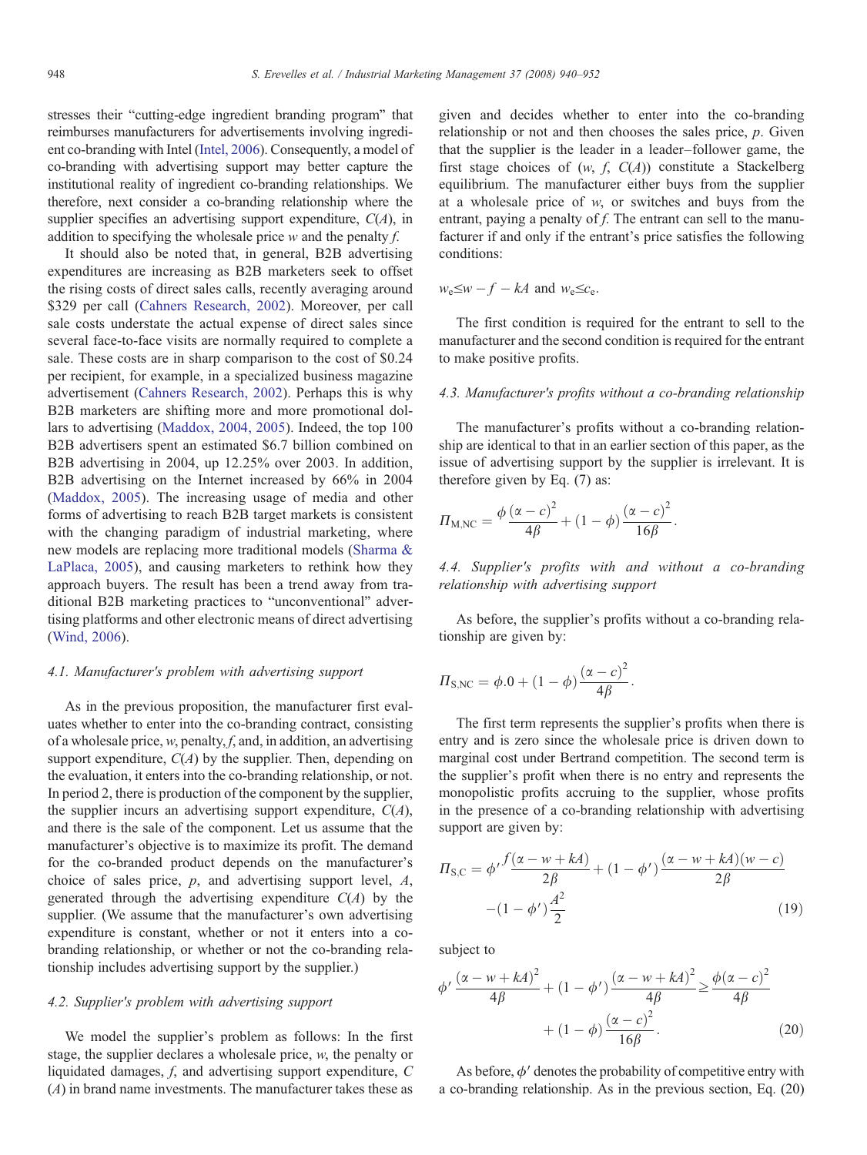stresses their "cutting-edge ingredient branding program" that reimburses manufacturers for advertisements involving ingredient co-branding with Intel [\(Intel, 2006](#page-11-0)). Consequently, a model of co-branding with advertising support may better capture the institutional reality of ingredient co-branding relationships. We therefore, next consider a co-branding relationship where the supplier specifies an advertising support expenditure,  $C(A)$ , in addition to specifying the wholesale price w and the penalty f.

It should also be noted that, in general, B2B advertising expenditures are increasing as B2B marketers seek to offset the rising costs of direct sales calls, recently averaging around \$329 per call ([Cahners Research, 2002\)](#page-11-0). Moreover, per call sale costs understate the actual expense of direct sales since several face-to-face visits are normally required to complete a sale. These costs are in sharp comparison to the cost of \$0.24 per recipient, for example, in a specialized business magazine advertisement [\(Cahners Research, 2002](#page-11-0)). Perhaps this is why B2B marketers are shifting more and more promotional dollars to advertising [\(Maddox, 2004, 2005](#page-11-0)). Indeed, the top 100 B2B advertisers spent an estimated \$6.7 billion combined on B2B advertising in 2004, up 12.25% over 2003. In addition, B2B advertising on the Internet increased by 66% in 2004 ([Maddox, 2005](#page-11-0)). The increasing usage of media and other forms of advertising to reach B2B target markets is consistent with the changing paradigm of industrial marketing, where new models are replacing more traditional models ([Sharma &](#page-11-0) [LaPlaca, 2005\)](#page-11-0), and causing marketers to rethink how they approach buyers. The result has been a trend away from traditional B2B marketing practices to "unconventional" advertising platforms and other electronic means of direct advertising ([Wind, 2006](#page-12-0)).

## 4.1. Manufacturer's problem with advertising support

As in the previous proposition, the manufacturer first evaluates whether to enter into the co-branding contract, consisting of a wholesale price,  $w$ , penalty,  $f$ , and, in addition, an advertising support expenditure,  $C(A)$  by the supplier. Then, depending on the evaluation, it enters into the co-branding relationship, or not. In period 2, there is production of the component by the supplier, the supplier incurs an advertising support expenditure,  $C(A)$ , and there is the sale of the component. Let us assume that the manufacturer's objective is to maximize its profit. The demand for the co-branded product depends on the manufacturer's choice of sales price, p, and advertising support level, A, generated through the advertising expenditure  $C(A)$  by the supplier. (We assume that the manufacturer's own advertising expenditure is constant, whether or not it enters into a cobranding relationship, or whether or not the co-branding relationship includes advertising support by the supplier.)

#### 4.2. Supplier's problem with advertising support

We model the supplier's problem as follows: In the first stage, the supplier declares a wholesale price, w, the penalty or liquidated damages, f, and advertising support expenditure, C (A) in brand name investments. The manufacturer takes these as given and decides whether to enter into the co-branding relationship or not and then chooses the sales price,  $p$ . Given that the supplier is the leader in a leader–follower game, the first stage choices of  $(w, f, C(A))$  constitute a Stackelberg equilibrium. The manufacturer either buys from the supplier at a wholesale price of  $w$ , or switches and buys from the entrant, paying a penalty of f. The entrant can sell to the manufacturer if and only if the entrant's price satisfies the following conditions:

$$
w_e \leq w - f - kA
$$
 and  $w_e \leq c_e$ .

The first condition is required for the entrant to sell to the manufacturer and the second condition is required for the entrant to make positive profits.

# 4.3. Manufacturer's profits without a co-branding relationship

The manufacturer's profits without a co-branding relationship are identical to that in an earlier section of this paper, as the issue of advertising support by the supplier is irrelevant. It is therefore given by Eq. (7) as:

$$
\Pi_{\text{M,NC}} = \frac{\phi\left(\alpha - c\right)^2}{4\beta} + \left(1 - \phi\right)\frac{\left(\alpha - c\right)^2}{16\beta}.
$$

4.4. Supplier's profits with and without a co-branding relationship with advertising support

As before, the supplier's profits without a co-branding relationship are given by:

$$
\Pi_{\text{S,NC}} = \phi.0 + (1 - \phi) \frac{(\alpha - c)^2}{4\beta}.
$$

The first term represents the supplier's profits when there is entry and is zero since the wholesale price is driven down to marginal cost under Bertrand competition. The second term is the supplier's profit when there is no entry and represents the monopolistic profits accruing to the supplier, whose profits in the presence of a co-branding relationship with advertising support are given by:

$$
\Pi_{S,C} = \phi' \frac{f(\alpha - w + kA)}{2\beta} + (1 - \phi') \frac{(\alpha - w + kA)(w - c)}{2\beta} - (1 - \phi') \frac{A^2}{2}
$$
\n(19)

subject to

$$
\phi' \frac{(\alpha - w + kA)^2}{4\beta} + (1 - \phi') \frac{(\alpha - w + kA)^2}{4\beta} \ge \frac{\phi(\alpha - c)^2}{4\beta} + (1 - \phi) \frac{(\alpha - c)^2}{16\beta}.
$$
 (20)

As before,  $\phi'$  denotes the probability of competitive entry with a co-branding relationship. As in the previous section, Eq. (20)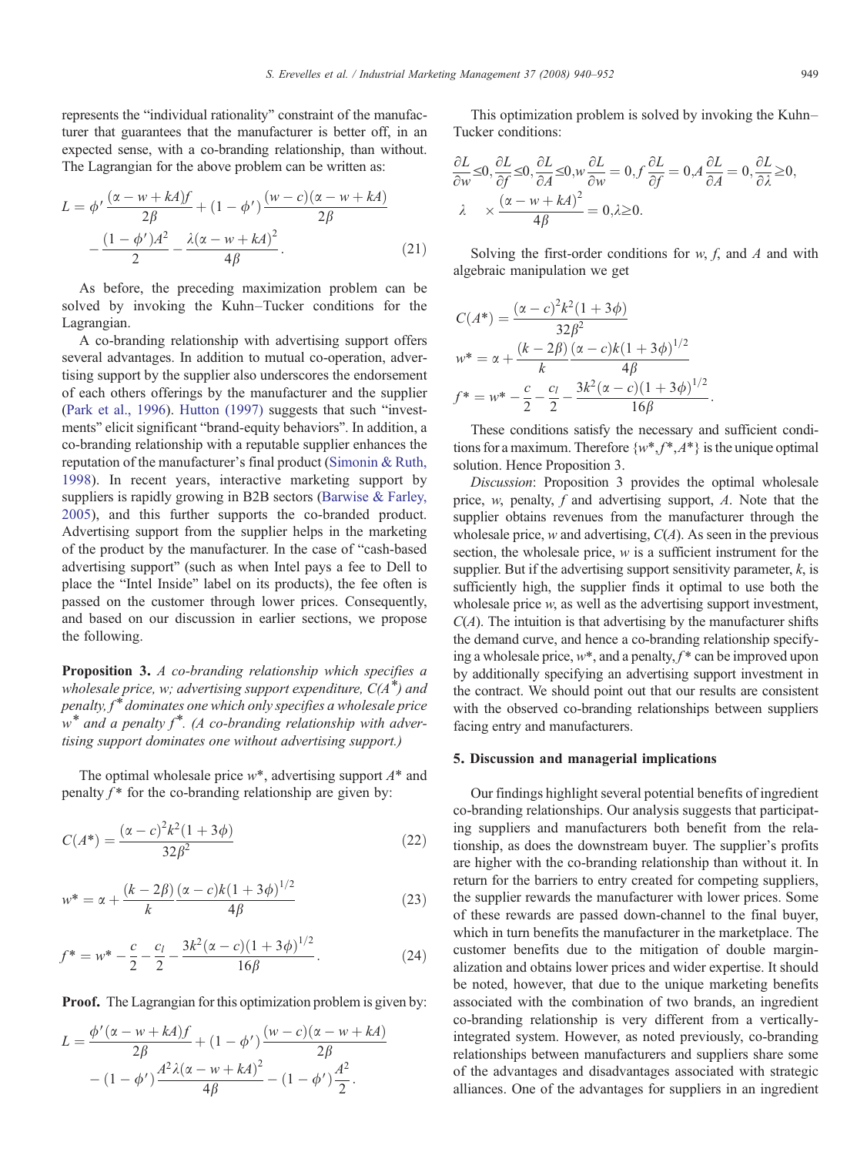represents the "individual rationality" constraint of the manufacturer that guarantees that the manufacturer is better off, in an expected sense, with a co-branding relationship, than without. The Lagrangian for the above problem can be written as:

$$
L = \phi' \frac{(\alpha - w + kA)f}{2\beta} + (1 - \phi') \frac{(w - c)(\alpha - w + kA)}{2\beta}
$$

$$
-\frac{(1 - \phi')A^2}{2} - \frac{\lambda(\alpha - w + kA)^2}{4\beta}.
$$
(21)

As before, the preceding maximization problem can be solved by invoking the Kuhn–Tucker conditions for the Lagrangian.

A co-branding relationship with advertising support offers several advantages. In addition to mutual co-operation, advertising support by the supplier also underscores the endorsement of each others offerings by the manufacturer and the supplier ([Park et al., 1996\)](#page-11-0). [Hutton \(1997\)](#page-11-0) suggests that such "investments" elicit significant "brand-equity behaviors". In addition, a co-branding relationship with a reputable supplier enhances the reputation of the manufacturer's final product [\(Simonin & Ruth,](#page-11-0) [1998\)](#page-11-0). In recent years, interactive marketing support by suppliers is rapidly growing in B2B sectors [\(Barwise & Farley,](#page-11-0) [2005\)](#page-11-0), and this further supports the co-branded product. Advertising support from the supplier helps in the marketing of the product by the manufacturer. In the case of "cash-based advertising support" (such as when Intel pays a fee to Dell to place the "Intel Inside" label on its products), the fee often is passed on the customer through lower prices. Consequently, and based on our discussion in earlier sections, we propose the following.

Proposition 3. A co-branding relationship which specifies a wholesale price, w; advertising support expenditure,  $C(A^*)$  and  $p$ enalty,  $f^*$  dominates one which only specifies a wholesale price  $w^*$  and a penalty  $f^*$ . (A co-branding relationship with advertising support dominates one without advertising support.)

The optimal wholesale price  $w^*$ , advertising support  $A^*$  and penalty  $f^*$  for the co-branding relationship are given by:

$$
C(A^*) = \frac{(\alpha - c)^2 k^2 (1 + 3\phi)}{32\beta^2}
$$
 (22)

$$
w^* = \alpha + \frac{(k - 2\beta)}{k} \frac{(\alpha - c)k(1 + 3\phi)^{1/2}}{4\beta}
$$
 (23)

$$
f^* = w^* - \frac{c}{2} - \frac{c_l}{2} - \frac{3k^2(\alpha - c)(1 + 3\phi)^{1/2}}{16\beta}.
$$
 (24)

Proof. The Lagrangian for this optimization problem is given by:

$$
L = \frac{\phi'(\alpha - w + kA)f}{2\beta} + (1 - \phi')\frac{(w - c)(\alpha - w + kA)}{2\beta} - (1 - \phi')\frac{A^2\lambda(\alpha - w + kA)^2}{4\beta} - (1 - \phi')\frac{A^2}{2}.
$$

This optimization problem is solved by invoking the Kuhn– Tucker conditions:

$$
\frac{\partial L}{\partial w} \le 0, \frac{\partial L}{\partial f} \le 0, \frac{\partial L}{\partial A} \le 0, w \frac{\partial L}{\partial w} = 0, f \frac{\partial L}{\partial f} = 0, A \frac{\partial L}{\partial A} = 0, \frac{\partial L}{\partial \lambda} \ge 0,
$$
  

$$
\lambda \times \frac{(\alpha - w + kA)^2}{4\beta} = 0, \lambda \ge 0.
$$

Solving the first-order conditions for  $w, f$ , and A and with algebraic manipulation we get

$$
C(A^*) = \frac{(\alpha - c)^2 k^2 (1 + 3\phi)}{32\beta^2}
$$
  

$$
w^* = \alpha + \frac{(k - 2\beta)}{k} \frac{(\alpha - c)k(1 + 3\phi)^{1/2}}{4\beta}
$$
  

$$
f^* = w^* - \frac{c}{2} - \frac{c_l}{2} - \frac{3k^2(\alpha - c)(1 + 3\phi)^{1/2}}{16\beta}.
$$

These conditions satisfy the necessary and sufficient conditions for a maximum. Therefore  $\{w^*, f^*, A^*\}$  is the unique optimal solution. Hence Proposition 3.

Discussion: Proposition 3 provides the optimal wholesale price, w, penalty, f and advertising support, A. Note that the supplier obtains revenues from the manufacturer through the wholesale price, w and advertising,  $C(A)$ . As seen in the previous section, the wholesale price,  $w$  is a sufficient instrument for the supplier. But if the advertising support sensitivity parameter,  $k$ , is sufficiently high, the supplier finds it optimal to use both the wholesale price w, as well as the advertising support investment,  $C(A)$ . The intuition is that advertising by the manufacturer shifts the demand curve, and hence a co-branding relationship specifying a wholesale price,  $w^*$ , and a penalty,  $f^*$  can be improved upon by additionally specifying an advertising support investment in the contract. We should point out that our results are consistent with the observed co-branding relationships between suppliers facing entry and manufacturers.

#### 5. Discussion and managerial implications

Our findings highlight several potential benefits of ingredient co-branding relationships. Our analysis suggests that participating suppliers and manufacturers both benefit from the relationship, as does the downstream buyer. The supplier's profits are higher with the co-branding relationship than without it. In return for the barriers to entry created for competing suppliers, the supplier rewards the manufacturer with lower prices. Some of these rewards are passed down-channel to the final buyer, which in turn benefits the manufacturer in the marketplace. The customer benefits due to the mitigation of double marginalization and obtains lower prices and wider expertise. It should be noted, however, that due to the unique marketing benefits associated with the combination of two brands, an ingredient co-branding relationship is very different from a verticallyintegrated system. However, as noted previously, co-branding relationships between manufacturers and suppliers share some of the advantages and disadvantages associated with strategic alliances. One of the advantages for suppliers in an ingredient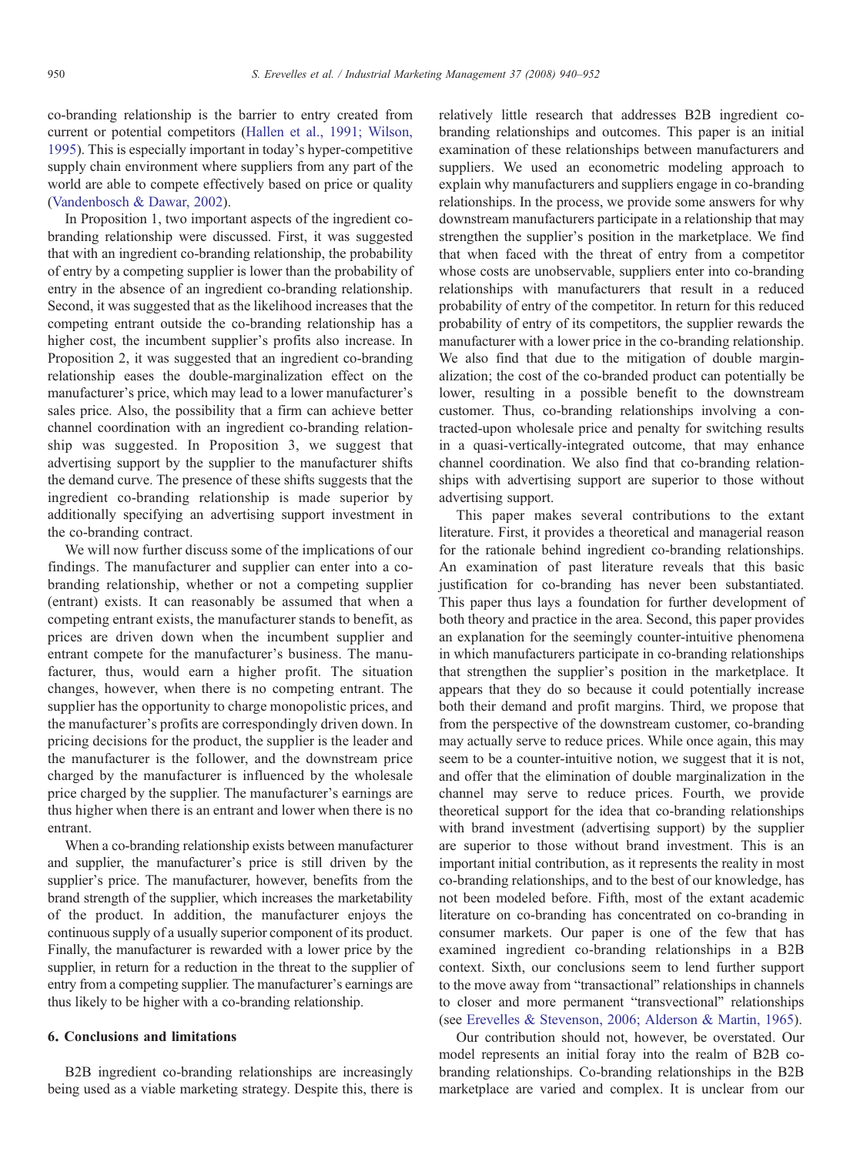co-branding relationship is the barrier to entry created from current or potential competitors ([Hallen et al., 1991; Wilson,](#page-11-0) [1995\)](#page-11-0). This is especially important in today's hyper-competitive supply chain environment where suppliers from any part of the world are able to compete effectively based on price or quality ([Vandenbosch & Dawar, 2002](#page-11-0)).

In Proposition 1, two important aspects of the ingredient cobranding relationship were discussed. First, it was suggested that with an ingredient co-branding relationship, the probability of entry by a competing supplier is lower than the probability of entry in the absence of an ingredient co-branding relationship. Second, it was suggested that as the likelihood increases that the competing entrant outside the co-branding relationship has a higher cost, the incumbent supplier's profits also increase. In Proposition 2, it was suggested that an ingredient co-branding relationship eases the double-marginalization effect on the manufacturer's price, which may lead to a lower manufacturer's sales price. Also, the possibility that a firm can achieve better channel coordination with an ingredient co-branding relationship was suggested. In Proposition 3, we suggest that advertising support by the supplier to the manufacturer shifts the demand curve. The presence of these shifts suggests that the ingredient co-branding relationship is made superior by additionally specifying an advertising support investment in the co-branding contract.

We will now further discuss some of the implications of our findings. The manufacturer and supplier can enter into a cobranding relationship, whether or not a competing supplier (entrant) exists. It can reasonably be assumed that when a competing entrant exists, the manufacturer stands to benefit, as prices are driven down when the incumbent supplier and entrant compete for the manufacturer's business. The manufacturer, thus, would earn a higher profit. The situation changes, however, when there is no competing entrant. The supplier has the opportunity to charge monopolistic prices, and the manufacturer's profits are correspondingly driven down. In pricing decisions for the product, the supplier is the leader and the manufacturer is the follower, and the downstream price charged by the manufacturer is influenced by the wholesale price charged by the supplier. The manufacturer's earnings are thus higher when there is an entrant and lower when there is no entrant.

When a co-branding relationship exists between manufacturer and supplier, the manufacturer's price is still driven by the supplier's price. The manufacturer, however, benefits from the brand strength of the supplier, which increases the marketability of the product. In addition, the manufacturer enjoys the continuous supply of a usually superior component of its product. Finally, the manufacturer is rewarded with a lower price by the supplier, in return for a reduction in the threat to the supplier of entry from a competing supplier. The manufacturer's earnings are thus likely to be higher with a co-branding relationship.

## 6. Conclusions and limitations

B2B ingredient co-branding relationships are increasingly being used as a viable marketing strategy. Despite this, there is relatively little research that addresses B2B ingredient cobranding relationships and outcomes. This paper is an initial examination of these relationships between manufacturers and suppliers. We used an econometric modeling approach to explain why manufacturers and suppliers engage in co-branding relationships. In the process, we provide some answers for why downstream manufacturers participate in a relationship that may strengthen the supplier's position in the marketplace. We find that when faced with the threat of entry from a competitor whose costs are unobservable, suppliers enter into co-branding relationships with manufacturers that result in a reduced probability of entry of the competitor. In return for this reduced probability of entry of its competitors, the supplier rewards the manufacturer with a lower price in the co-branding relationship. We also find that due to the mitigation of double marginalization; the cost of the co-branded product can potentially be lower, resulting in a possible benefit to the downstream customer. Thus, co-branding relationships involving a contracted-upon wholesale price and penalty for switching results in a quasi-vertically-integrated outcome, that may enhance channel coordination. We also find that co-branding relationships with advertising support are superior to those without advertising support.

This paper makes several contributions to the extant literature. First, it provides a theoretical and managerial reason for the rationale behind ingredient co-branding relationships. An examination of past literature reveals that this basic justification for co-branding has never been substantiated. This paper thus lays a foundation for further development of both theory and practice in the area. Second, this paper provides an explanation for the seemingly counter-intuitive phenomena in which manufacturers participate in co-branding relationships that strengthen the supplier's position in the marketplace. It appears that they do so because it could potentially increase both their demand and profit margins. Third, we propose that from the perspective of the downstream customer, co-branding may actually serve to reduce prices. While once again, this may seem to be a counter-intuitive notion, we suggest that it is not, and offer that the elimination of double marginalization in the channel may serve to reduce prices. Fourth, we provide theoretical support for the idea that co-branding relationships with brand investment (advertising support) by the supplier are superior to those without brand investment. This is an important initial contribution, as it represents the reality in most co-branding relationships, and to the best of our knowledge, has not been modeled before. Fifth, most of the extant academic literature on co-branding has concentrated on co-branding in consumer markets. Our paper is one of the few that has examined ingredient co-branding relationships in a B2B context. Sixth, our conclusions seem to lend further support to the move away from "transactional" relationships in channels to closer and more permanent "transvectional" relationships (see [Erevelles & Stevenson, 2006; Alderson & Martin, 1965\)](#page-11-0).

Our contribution should not, however, be overstated. Our model represents an initial foray into the realm of B2B cobranding relationships. Co-branding relationships in the B2B marketplace are varied and complex. It is unclear from our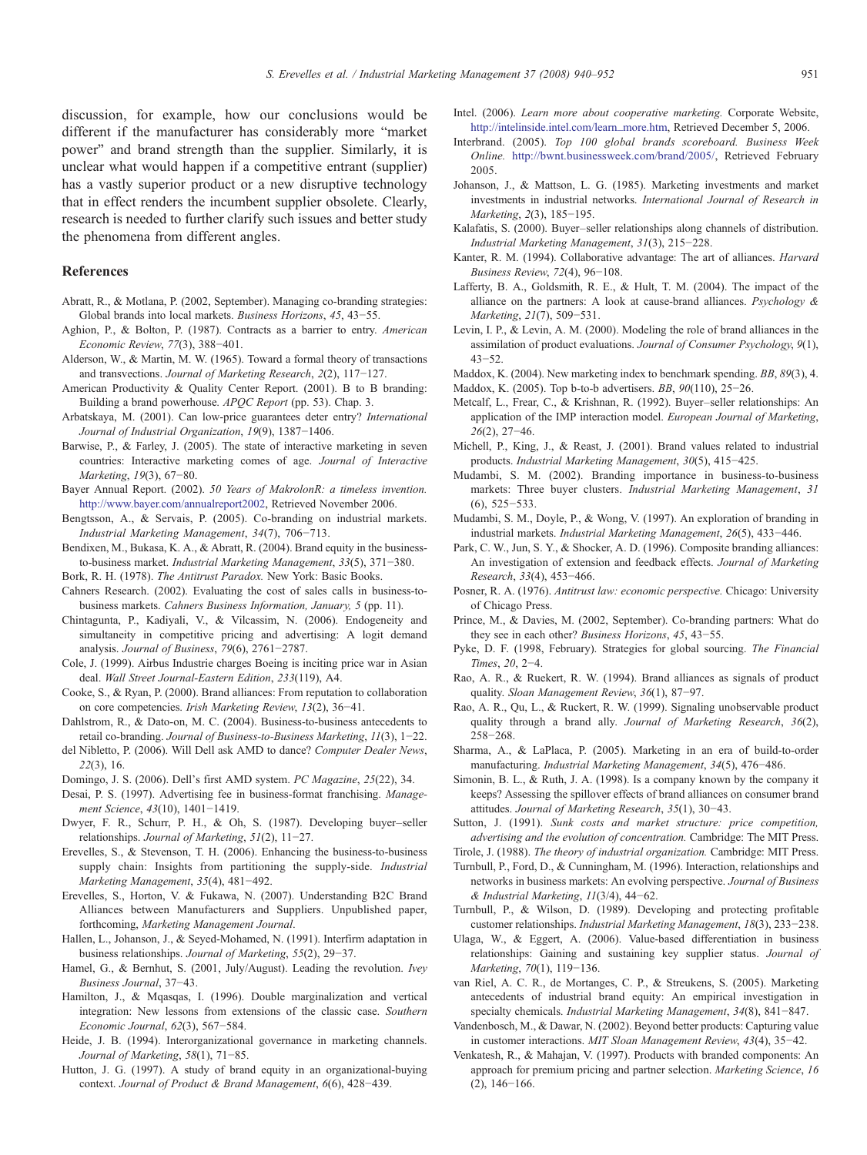<span id="page-11-0"></span>discussion, for example, how our conclusions would be different if the manufacturer has considerably more "market power" and brand strength than the supplier. Similarly, it is unclear what would happen if a competitive entrant (supplier) has a vastly superior product or a new disruptive technology that in effect renders the incumbent supplier obsolete. Clearly, research is needed to further clarify such issues and better study the phenomena from different angles.

#### References

- Abratt, R., & Motlana, P. (2002, September). Managing co-branding strategies: Global brands into local markets. Business Horizons, 45, 43−55.
- Aghion, P., & Bolton, P. (1987). Contracts as a barrier to entry. American Economic Review, 77(3), 388−401.
- Alderson, W., & Martin, M. W. (1965). Toward a formal theory of transactions and transvections. Journal of Marketing Research, 2(2), 117−127.
- American Productivity & Quality Center Report. (2001). B to B branding: Building a brand powerhouse. APQC Report (pp. 53). Chap. 3.
- Arbatskaya, M. (2001). Can low-price guarantees deter entry? International Journal of Industrial Organization, 19(9), 1387−1406.
- Barwise, P., & Farley, J. (2005). The state of interactive marketing in seven countries: Interactive marketing comes of age. Journal of Interactive Marketing, 19(3), 67−80.
- Bayer Annual Report. (2002). 50 Years of MakrolonR: a timeless invention. <http://www.bayer.com/annualreport2002>, Retrieved November 2006.
- Bengtsson, A., & Servais, P. (2005). Co-branding on industrial markets. Industrial Marketing Management, 34(7), 706−713.
- Bendixen, M., Bukasa, K. A., & Abratt, R. (2004). Brand equity in the businessto-business market. Industrial Marketing Management, 33(5), 371−380.
- Bork, R. H. (1978). The Antitrust Paradox. New York: Basic Books.

Cahners Research. (2002). Evaluating the cost of sales calls in business-tobusiness markets. Cahners Business Information, January, 5 (pp. 11).

- Chintagunta, P., Kadiyali, V., & Vilcassim, N. (2006). Endogeneity and simultaneity in competitive pricing and advertising: A logit demand analysis. Journal of Business, 79(6), 2761−2787.
- Cole, J. (1999). Airbus Industrie charges Boeing is inciting price war in Asian deal. Wall Street Journal-Eastern Edition, 233(119), A4.
- Cooke, S., & Ryan, P. (2000). Brand alliances: From reputation to collaboration on core competencies. Irish Marketing Review, 13(2), 36−41.
- Dahlstrom, R., & Dato-on, M. C. (2004). Business-to-business antecedents to retail co-branding. Journal of Business-to-Business Marketing, 11(3), 1−22.
- del Nibletto, P. (2006). Will Dell ask AMD to dance? Computer Dealer News, 22(3), 16.
- Domingo, J. S. (2006). Dell's first AMD system. PC Magazine, 25(22), 34.
- Desai, P. S. (1997). Advertising fee in business-format franchising. Management Science, 43(10), 1401−1419.
- Dwyer, F. R., Schurr, P. H., & Oh, S. (1987). Developing buyer–seller relationships. Journal of Marketing, 51(2), 11−27.
- Erevelles, S., & Stevenson, T. H. (2006). Enhancing the business-to-business supply chain: Insights from partitioning the supply-side. Industrial Marketing Management, 35(4), 481−492.
- Erevelles, S., Horton, V. & Fukawa, N. (2007). Understanding B2C Brand Alliances between Manufacturers and Suppliers. Unpublished paper, forthcoming, Marketing Management Journal.
- Hallen, L., Johanson, J., & Seyed-Mohamed, N. (1991). Interfirm adaptation in business relationships. Journal of Marketing, 55(2), 29−37.
- Hamel, G., & Bernhut, S. (2001, July/August). Leading the revolution. Ivey Business Journal, 37−43.
- Hamilton, J., & Mqasqas, I. (1996). Double marginalization and vertical integration: New lessons from extensions of the classic case. Southern Economic Journal, 62(3), 567−584.
- Heide, J. B. (1994). Interorganizational governance in marketing channels. Journal of Marketing, 58(1), 71−85.
- Hutton, J. G. (1997). A study of brand equity in an organizational-buying context. Journal of Product & Brand Management, 6(6), 428−439.
- Intel. (2006). Learn more about cooperative marketing. Corporate Website, [http://intelinside.intel.com/learn\\_more.htm](http://intelinside.intel.com/learn_more.htm), Retrieved December 5, 2006.
- Interbrand. (2005). Top 100 global brands scoreboard. Business Week Online. <http://bwnt.businessweek.com/brand/2005/>, Retrieved February 2005.
- Johanson, J., & Mattson, L. G. (1985). Marketing investments and market investments in industrial networks. International Journal of Research in Marketing, 2(3), 185−195.
- Kalafatis, S. (2000). Buyer–seller relationships along channels of distribution. Industrial Marketing Management, 31(3), 215−228.
- Kanter, R. M. (1994). Collaborative advantage: The art of alliances. Harvard Business Review, 72(4), 96−108.
- Lafferty, B. A., Goldsmith, R. E., & Hult, T. M. (2004). The impact of the alliance on the partners: A look at cause-brand alliances. Psychology & Marketing, 21(7), 509−531.
- Levin, I. P., & Levin, A. M. (2000). Modeling the role of brand alliances in the assimilation of product evaluations. Journal of Consumer Psychology, 9(1), 43−52.
- Maddox, K. (2004). New marketing index to benchmark spending. BB, 89(3), 4.
- Maddox, K. (2005). Top b-to-b advertisers. BB, 90(110), 25−26.
- Metcalf, L., Frear, C., & Krishnan, R. (1992). Buyer–seller relationships: An application of the IMP interaction model. European Journal of Marketing, 26(2), 27−46.
- Michell, P., King, J., & Reast, J. (2001). Brand values related to industrial products. Industrial Marketing Management, 30(5), 415−425.
- Mudambi, S. M. (2002). Branding importance in business-to-business markets: Three buyer clusters. Industrial Marketing Management, 31 (6), 525−533.
- Mudambi, S. M., Doyle, P., & Wong, V. (1997). An exploration of branding in industrial markets. Industrial Marketing Management, 26(5), 433−446.
- Park, C. W., Jun, S. Y., & Shocker, A. D. (1996). Composite branding alliances: An investigation of extension and feedback effects. Journal of Marketing Research, 33(4), 453−466.
- Posner, R. A. (1976). Antitrust law: economic perspective. Chicago: University of Chicago Press.
- Prince, M., & Davies, M. (2002, September). Co-branding partners: What do they see in each other? Business Horizons, 45, 43−55.
- Pyke, D. F. (1998, February). Strategies for global sourcing. The Financial Times, 20, 2−4.
- Rao, A. R., & Ruekert, R. W. (1994). Brand alliances as signals of product quality. Sloan Management Review, 36(1), 87−97.
- Rao, A. R., Qu, L., & Ruckert, R. W. (1999). Signaling unobservable product quality through a brand ally. Journal of Marketing Research, 36(2), 258−268.
- Sharma, A., & LaPlaca, P. (2005). Marketing in an era of build-to-order manufacturing. Industrial Marketing Management, 34(5), 476−486.
- Simonin, B. L., & Ruth, J. A. (1998). Is a company known by the company it keeps? Assessing the spillover effects of brand alliances on consumer brand attitudes. Journal of Marketing Research, 35(1), 30−43.

Sutton, J. (1991). Sunk costs and market structure: price competition, advertising and the evolution of concentration. Cambridge: The MIT Press.

Tirole, J. (1988). The theory of industrial organization. Cambridge: MIT Press.

- Turnbull, P., Ford, D., & Cunningham, M. (1996). Interaction, relationships and networks in business markets: An evolving perspective. Journal of Business & Industrial Marketing, 11(3/4), 44−62.
- Turnbull, P., & Wilson, D. (1989). Developing and protecting profitable customer relationships. Industrial Marketing Management, 18(3), 233−238.
- Ulaga, W., & Eggert, A. (2006). Value-based differentiation in business relationships: Gaining and sustaining key supplier status. Journal of Marketing, 70(1), 119−136.
- van Riel, A. C. R., de Mortanges, C. P., & Streukens, S. (2005). Marketing antecedents of industrial brand equity: An empirical investigation in specialty chemicals. Industrial Marketing Management, 34(8), 841−847.
- Vandenbosch, M., & Dawar, N. (2002). Beyond better products: Capturing value in customer interactions. MIT Sloan Management Review, 43(4), 35−42.
- Venkatesh, R., & Mahajan, V. (1997). Products with branded components: An approach for premium pricing and partner selection. Marketing Science, 16 (2), 146−166.